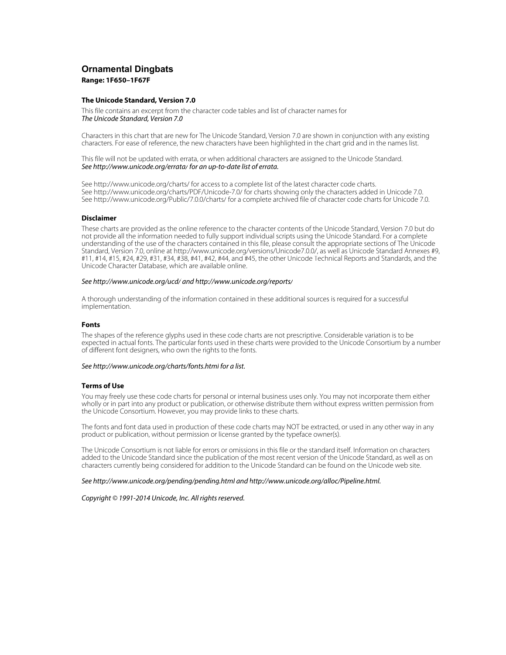# **Ornamental Dingbats Range: 1F650–1F67F**

### **The Unicode Standard, Version 7.0**

This file contains an excerpt from the character code tables and list of character names for The Unicode Standard, Version 7.0

Characters in this chart that are new for The Unicode Standard, Version 7.0 are shown in conjunction with any existing characters. For ease of reference, the new characters have been highlighted in the chart grid and in the names list.

This file will not be updated with errata, or when additional characters are assigned to the Unicode Standard. See <http://www.unicode.org/errata/>for an up-to-date list of errata.

See <http://www.unicode.org/charts/> for access to a complete list of the latest character code charts. See <http://www.unicode.org/charts/PDF/Unicode-7.0/>for charts showing only the characters added in Unicode 7.0. See <http://www.unicode.org/Public/7.0.0/charts/> for a complete archived file of character code charts for Unicode 7.0.

## **Disclaimer**

These charts are provided as the online reference to the character contents of the Unicode Standard, Version 7.0 but do not provide all the information needed to fully support individual scripts using the Unicode Standard. For a complete understanding of the use of the characters contained in this file, please consult the appropriate sections of The Unicode Standard, Version 7.0, online at [http://www.unicode.org/versions/Unicode7.0.0/,](http://www.unicode.org/versions/Unicode7.0.0/) as well as Unicode Standard Annexes #9, #11, #14, #15, #24, #29, #31, #34, #38, #41, #42, #44, and #45, the other Unicode Technical Reports and Standards, and the Unicode Character Database, which are available online.

#### See <http://www.unicode.org/ucd/>and<http://www.unicode.org/reports/>

A thorough understanding of the information contained in these additional sources is required for a successful implementation.

#### **Fonts**

The shapes of the reference glyphs used in these code charts are not prescriptive. Considerable variation is to be expected in actual fonts. The particular fonts used in these charts were provided to the Unicode Consortium by a number of different font designers, who own the rights to the fonts.

#### See <http://www.unicode.org/charts/fonts.html> for a list.

#### **Terms of Use**

You may freely use these code charts for personal or internal business uses only. You may not incorporate them either wholly or in part into any product or publication, or otherwise distribute them without express written permission from the Unicode Consortium. However, you may provide links to these charts.

The fonts and font data used in production of these code charts may NOT be extracted, or used in any other way in any product or publication, without permission or license granted by the typeface owner(s).

The Unicode Consortium is not liable for errors or omissions in this file or the standard itself. Information on characters added to the Unicode Standard since the publication of the most recent version of the Unicode Standard, as well as on characters currently being considered for addition to the Unicode Standard can be found on the Unicode web site.

#### See <http://www.unicode.org/pending/pending.html> and [http://www.unicode.org/alloc/Pipeline.html.](http://www.unicode.org/alloc/Pipeline.html)

#### Copyright © 1991-2014 Unicode, Inc. All rights reserved.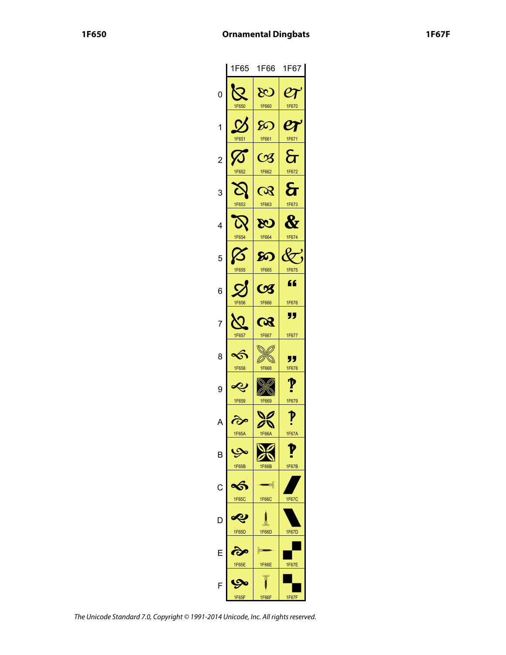|                | 1F65        | 1F66               | 1F67                                 |
|----------------|-------------|--------------------|--------------------------------------|
| 0              | 1F650       | $\infty$<br>1F660  | $\mathcal C$<br>1F670                |
| 1              | 1F651       | <b>SS</b><br>1F661 | $\boldsymbol{\varrho_j}$<br>1F671    |
| $\overline{c}$ | 1F652       | CA<br>1F662        | 1F672                                |
| 3              | 1F653       | $\infty$<br>1F663  | 1F673                                |
| 4              | 1F654       | 80<br>1F664        | $\mathcal{R}_{\mathcal{I}}$<br>1F674 |
| 5              | 1F655       | ဢ<br>1F665         | 1F675                                |
| 6              | 1F656       | Сß<br>1F666        | "<br>1F676                           |
| 7              | 1F657       | $\alpha$<br>1F667  | "<br>1F677                           |
| 8              | 5<br>1F658  | DØ<br>Ød<br>1F668  | "<br>1F678                           |
| 9              | Q,<br>1F659 | \Ø<br>1F669        | 1F679                                |
| Д              | 1F65A       | 1F66A              | 1F67A                                |
| B              | 1F65B       | 1F66B              | 1F67B                                |
| Г              | 1F65C       | n.<br>1F66C        | 1F67C                                |
| г              | 1F65D       | 1F66D              | 1F67D                                |
| E              | 1F65E       | ≡ਨ<br>1F66E        | 1F67E                                |
| F              | 1F65F       | m<br>1F66F         | 1F67F                                |

The Unicode Standard 7.0, Copyright © 1991-2014 Unicode, Inc. All rights reserved.